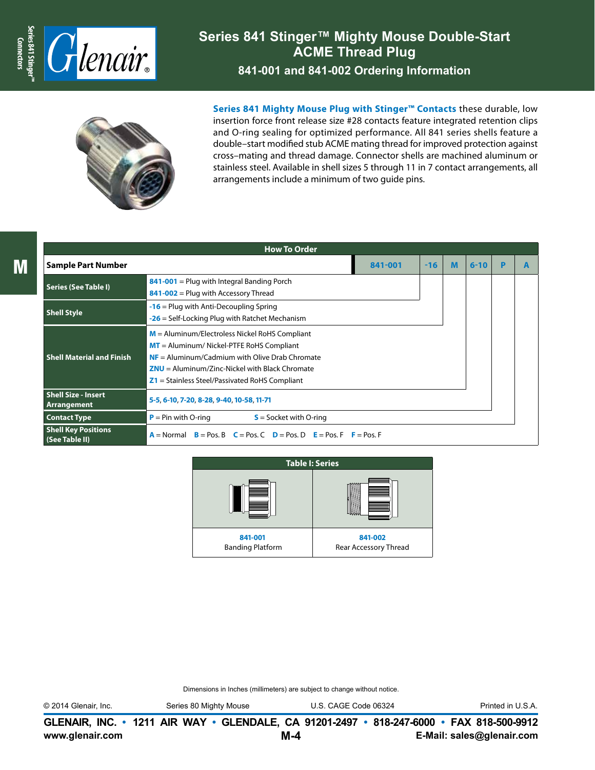

## **Series 841 Stinger™ Mighty Mouse Double-Start ACME Thread Plug**

**841-001 and 841-002 Ordering Information**



**Series 841 Mighty Mouse Plug with Stinger™ Contacts** these durable, low insertion force front release size #28 contacts feature integrated retention clips and O-ring sealing for optimized performance. All 841 series shells feature a double–start modified stub ACME mating thread for improved protection against cross–mating and thread damage. Connector shells are machined aluminum or stainless steel. Available in shell sizes 5 through 11 in 7 contact arrangements, all arrangements include a minimum of two guide pins.

| <b>How To Order</b>                          |                                                                                                                                                                                                                                                             |         |       |   |          |   |  |  |
|----------------------------------------------|-------------------------------------------------------------------------------------------------------------------------------------------------------------------------------------------------------------------------------------------------------------|---------|-------|---|----------|---|--|--|
| <b>Sample Part Number</b>                    |                                                                                                                                                                                                                                                             | 841-001 | $-16$ | M | $6 - 10$ | P |  |  |
| <b>Series (See Table I)</b>                  | $841-001$ = Plug with Integral Banding Porch<br>$841 - 002$ = Plug with Accessory Thread                                                                                                                                                                    |         |       |   |          |   |  |  |
| <b>Shell Style</b>                           | $-16$ = Plug with Anti-Decoupling Spring<br>$-26$ = Self-Locking Plug with Ratchet Mechanism                                                                                                                                                                |         |       |   |          |   |  |  |
| <b>Shell Material and Finish</b>             | $M =$ Aluminum/Electroless Nickel RoHS Compliant<br>$MT =$ Aluminum/ Nickel-PTFE RoHS Compliant<br>$NF =$ Aluminum/Cadmium with Olive Drab Chromate<br>$ZNU =$ Aluminum/Zinc-Nickel with Black Chromate<br>$Z1$ = Stainless Steel/Passivated RoHS Compliant |         |       |   |          |   |  |  |
| <b>Shell Size - Insert</b><br>Arrangement    | 5-5, 6-10, 7-20, 8-28, 9-40, 10-58, 11-71                                                                                                                                                                                                                   |         |       |   |          |   |  |  |
| <b>Contact Type</b>                          | $P = Pin$ with O-ring<br>$S =$ Socket with O-ring                                                                                                                                                                                                           |         |       |   |          |   |  |  |
| <b>Shell Key Positions</b><br>(See Table II) | $A = Normal$ $B = Pos$ , $B = Pos$ , $C = Pos$ , $D = Pos$ , $D = Pos$ , $F = Pos$ , $F = Pos$ , $F = Pos$                                                                                                                                                  |         |       |   |          |   |  |  |



Dimensions in Inches (millimeters) are subject to change without notice.

© 2014 Glenair, Inc. Series 80 Mighty Mouse U.S. CAGE Code 06324 Printed in U.S.A.

**www.glenair.com E-Mail: sales@glenair.com GLENAIR, INC. • 1211 AIR WAY • GLENDALE, CA 91201-2497 • 818-247-6000 • FAX 818-500-9912 M-4**